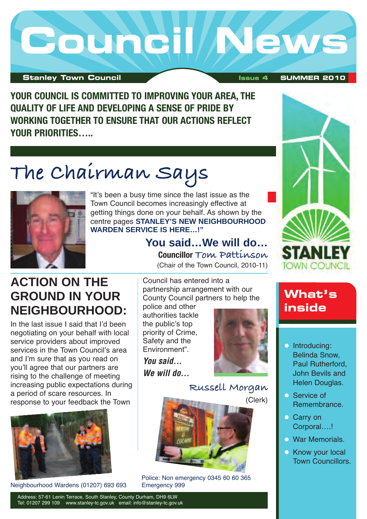

**YOUR COUNCIL IS COMMITTED TO IMPROVING YOUR AREA, THE QUALITY OF LIFE AND DEVELOPING A SENSE OF PRIDE BY WORKING TOGETHER TO ENSURE THAT OUR ACTIONS REFLECT YOUR PRIORITIES…..**

## **The Chairman Says**



"It's been a busy time since the last issue as the Town Council becomes increasingly effective at getting things done on your behalf. As shown by the centre pages **STANLEY'S NEW NEIGHBOURHOOD WARDEN SERVICE IS HERE…!"**

> **You said…We will do… Councillor Tom Pattinson**

(Chair of the Town Council, 2010-11)

### **ACTION ON THE GROUND IN YOUR NEIGHBOURHOOD:**

In the last issue I said that I'd been negotiating on your behalf with local service providers about improved services in the Town Council's area and I'm sure that as you read on you'll agree that our partners are rising to the challenge of meeting increasing public expectations during a period of scare resources. In response to your feedback the Town



Neighbourhood Wardens (01207) 693 693 Emergency 999

Council has entered into a partnership arrangement with our County Council partners to help the

police and other authorities tackle the public's top priority of Crime, Safety and the Environment".

*You said… We will do…*



**Russell Morgan**

(Clerk)



Police: Non emergency 0345 60 60 365



### **What's inside**

- **Introducing:** Belinda Snow, Paul Rutherford, John Bevils and Helen Douglas.
- **Service of** Remembrance.
- Carry on Corporal….!
- **War Memorials.**
- **Know your local** Town Councillors.

Address: 57-61 Lenin Terrace, South Stanley, County Durham, DH9 6LW Tel: 01207 299 109 www.stanley-tc.gov.uk email: info@stanley-tc.gov.uk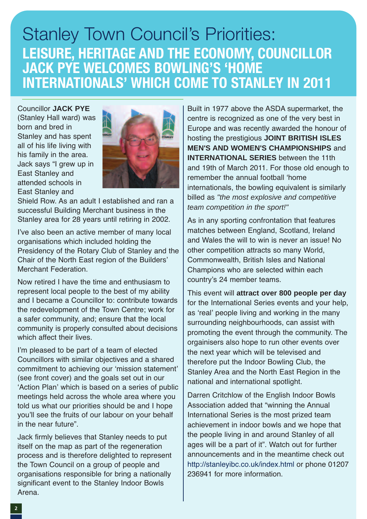### Stanley Town Council's Priorities: **LEISURE, HERITAGE AND THE ECONOMY, COUNCILLOR JACK PYE WELCOMES BOWLING'S 'HOME INTERNATIONALS' WHICH COME TO STANLEY IN 2011**

Councillor **JACK PYE** (Stanley Hall ward) was born and bred in Stanley and has spent all of his life living with his family in the area. Jack says "I grew up in East Stanley and attended schools in East Stanley and



Shield Row. As an adult I established and ran a successful Building Merchant business in the Stanley area for 28 years until retiring in 2002.

I've also been an active member of many local organisations which included holding the Presidency of the Rotary Club of Stanley and the Chair of the North East region of the Builders' Merchant Federation.

Now retired I have the time and enthusiasm to represent local people to the best of my ability and I became a Councillor to: contribute towards the redevelopment of the Town Centre; work for a safer community, and; ensure that the local community is properly consulted about decisions which affect their lives.

I'm pleased to be part of a team of elected Councillors with similar objectives and a shared commitment to achieving our ʻmission statement' (see front cover) and the goals set out in our ʻAction Plan' which is based on a series of public meetings held across the whole area where you told us what our priorities should be and I hope you'll see the fruits of our labour on your behalf in the near future".

Jack firmly believes that Stanley needs to put itself on the map as part of the regeneration process and is therefore delighted to represent the Town Council on a group of people and organisations responsible for bring a nationally significant event to the Stanley Indoor Bowls Arena.

Built in 1977 above the ASDA supermarket, the centre is recognized as one of the very best in Europe and was recently awarded the honour of hosting the prestigious **JOINT BRITISH ISLES MEN'S AND WOMEN'S CHAMPIONSHIPS** and **INTERNATIONAL SERIES** between the 11th and 19th of March 2011. For those old enough to remember the annual football ʻhome internationals, the bowling equivalent is similarly billed as *"the most explosive and competitive team competition in the sport!"*

As in any sporting confrontation that features matches between England, Scotland, Ireland and Wales the will to win is never an issue! No other competition attracts so many World, Commonwealth, British Isles and National Champions who are selected within each country's 24 member teams.

This event will **attract over 800 people per day** for the International Series events and your help, as ʻreal' people living and working in the many surrounding neighbourhoods, can assist with promoting the event through the community. The orgainisers also hope to run other events over the next year which will be televised and therefore put the Indoor Bowling Club, the Stanley Area and the North East Region in the national and international spotlight.

Darren Critchlow of the English Indoor Bowls Association added that "winning the Annual International Series is the most prized team achievement in indoor bowls and we hope that the people living in and around Stanley of all ages will be a part of it". Watch out for further announcements and in the meantime check out http://stanleyibc.co.uk/index.html or phone 01207 236941 for more information.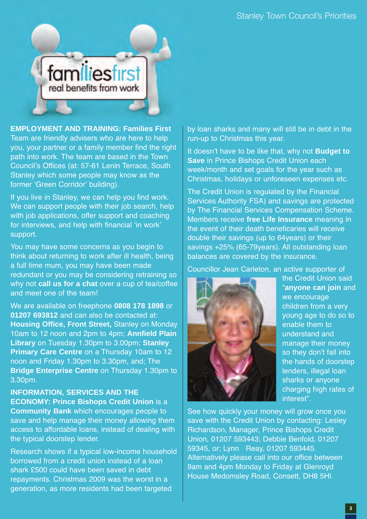

**EMPLOYMENT AND TRAINING: Families First** Team are friendly advisers who are here to help you, your partner or a family member find the right path into work. The team are based in the Town Council's Offices (at: 57-61 Lenin Terrace, South Stanley which some people may know as the former ʻGreen Corridor' building).

If you live in Stanley, we can help you find work. We can support people with their job search, help with job applications, offer support and coaching for interviews, and help with financial ʻin work' support.

You may have some concerns as you begin to think about returning to work after ill health, being a full time mum, you may have been made redundant or you may be considering retraining so why not **call us for a chat** over a cup of tea/coffee and meet one of the team!

We are available on freephone **0808 178 1898** or **01207 693812** and can also be contacted at: **Housing Office, Front Street,** Stanley on Monday 10am to 12 noon and 2pm to 4pm; **Annfield Plain Library** on Tuesday 1.30pm to 3.00pm; **Stanley Primary Care Centre** on a Thursday 10am to 12 noon and Friday 1.30pm to 3.30pm, and; The **Bridge Enterprise Centre** on Thursday 1.30pm to 3.30pm.

**INFORMATION, SERVICES AND THE ECONOMY: Prince Bishops Credit Union** is a **Community Bank** which encourages people to save and help manage their money allowing them access to affordable loans, instead of dealing with the typical doorstep lender.

Research shows if a typical low-income household borrowed from a credit union instead of a loan shark £500 could have been saved in debt repayments. Christmas 2009 was the worst in a generation, as more residents had been targeted

by loan sharks and many will still be in debt in the run-up to Christmas this year.

It doesn't have to be like that, why not **Budget to Save** in Prince Bishops Credit Union each week/month and set goals for the year such as Christmas, holidays or unforeseen expenses etc.

The Credit Union is regulated by the Financial Services Authority FSA) and savings are protected by The Financial Services Compensation Scheme. Members receive **free Life Insurance** meaning in the event of their death beneficaries will receive double their savings (up to 64years) or their savings +25% (65-79years). All outstanding loan balances are covered by the insurance.

Councillor Jean Carleton, an active supporter of



the Credit Union said "**anyone can join** and we encourage children from a very young age to do so to enable them to understand and manage their money so they don't fall into the hands of doorstep lenders, illegal loan sharks or anyone charging high rates of interest".

See how quickly your money will grow once you save with the Credit Union by contacting: Lesley Richardson, Manager, Prince Bishops Credit Union, 01207 593443; Debbie Benfold, 01207 59345, or; Lynn Reay, 01207 593445. Alternatively please call into our office between 9am and 4pm Monday to Friday at Glenroyd House Medomsley Road, Consett, DH8 5Hl.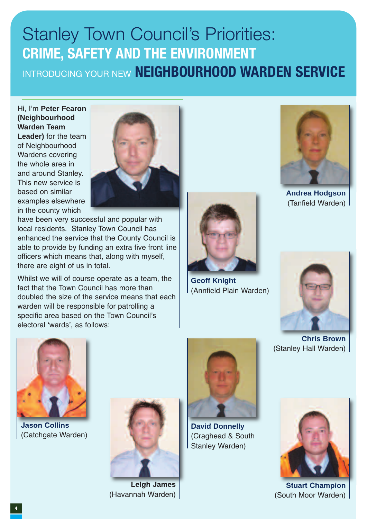## Stanley Town Council's Priorities: **CRIME, SAFETY AND THE ENVIRONMENT** INTRODUCING YOUR NEW **NEIGHBOURHOOD WARDEN SERVICE**

Hi, I'm **Peter Fearon (Neighbourhood Warden Team Leader)** for the team of Neighbourhood Wardens covering the whole area in and around Stanley. This new service is based on similar examples elsewhere in the county which



have been very successful and popular with local residents. Stanley Town Council has enhanced the service that the County Council is able to provide by funding an extra five front line officers which means that, along with myself, there are eight of us in total.

Whilst we will of course operate as a team, the fact that the Town Council has more than doubled the size of the service means that each warden will be responsible for patrolling a specific area based on the Town Council's electoral ʻwards', as follows:



**Geoff Knight** (Annfield Plain Warden)



**Andrea Hodgson** (Tanfield Warden)



**Jason Collins** (Catchgate Warden)



**Leigh James** (Havannah Warden)



**David Donnelly** (Craghead & South Stanley Warden)



**Chris Brown** (Stanley Hall Warden)



**Stuart Champion** (South Moor Warden)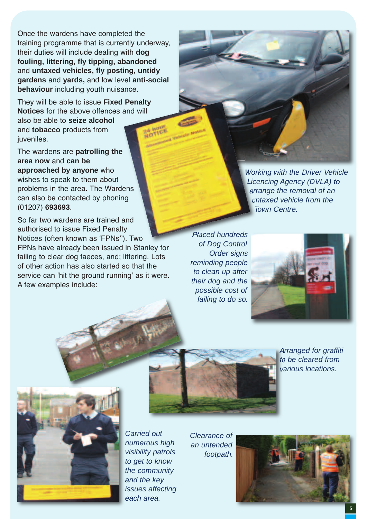Once the wardens have completed the training programme that is currently underway, their duties will include dealing with **dog fouling, littering, fly tipping, abandoned** and **untaxed vehicles, fly posting, untidy gardens** and **yards,** and low level **anti-social behaviour** including youth nuisance.

They will be able to issue **Fixed Penalty Notices** for the above offences and will also be able to **seize alcohol** and **tobacco** products from juveniles.

The wardens are **patrolling the area now** and **can be approached by anyone** who wishes to speak to them about problems in the area. The Wardens can also be contacted by phoning (01207) **693693**.

So far two wardens are trained and authorised to issue Fixed Penalty Notices (often known as ʻFPNs''). Two FPNs have already been issued in Stanley for failing to clear dog faeces, and; littering. Lots of other action has also started so that the service can ʻhit the ground running' as it were. A few examples include:

*Working with the Driver Vehicle Licencing Agency (DVLA) to arrange the removal of an untaxed vehicle from the Town Centre.*

*Placed hundreds of Dog Control Order signs reminding people to clean up after their dog and the possible cost of failing to do so.*



*Arranged for graffiti to be cleared from various locations.*



*Carried out numerous high visibility patrols to get to know the community and the key issues affecting each area.*

*Clearance of an untended footpath.*

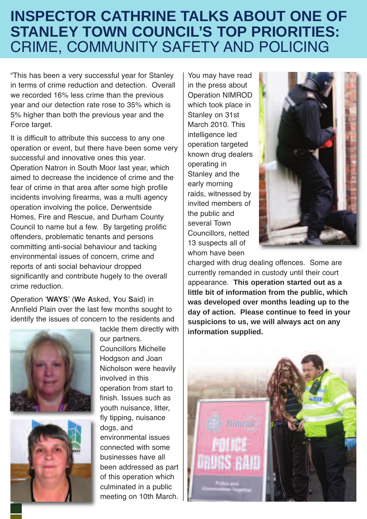### **INSPECTOR CATHRINE TALKS ABOUT ONE OF STANLEY TOWN COUNCIL'S TOP PRIORITIES:** CRIME, COMMUNITY SAFETY AND POLICING

"This has been a very successful year for Stanley in terms of crime reduction and detection. Overall we recorded 16% less crime than the previous year and our detection rate rose to 35% which is 5% higher than both the previous year and the Force target.

It is difficult to attribute this success to any one operation or event, but there have been some very successful and innovative ones this year. Operation Natron in South Moor last year, which aimed to decrease the incidence of crime and the fear of crime in that area after some high profile incidents involving firearms, was a multi agency operation involving the police, Derwentside Homes, Fire and Rescue, and Durham County Council to name but a few. By targeting prolific offenders, problematic tenants and persons committing anti-social behaviour and tacking environmental issues of concern, crime and reports of anti social behaviour dropped significantly and contribute hugely to the overall crime reduction.

Operation ʻ**WAYS**' (**W**e **A**sked, **Y**ou **S**aid) in Annfield Plain over the last few months sought to identify the issues of concern to the residents and





tackle them directly with our partners. Councillors Michelle Hodgson and Joan Nicholson were heavily involved in this operation from start to finish. Issues such as youth nuisance, litter, fly tipping, nuisance dogs, and environmental issues connected with some businesses have all been addressed as part of this operation which culminated in a public meeting on 10th March.

You may have read in the press about Operation NIMROD which took place in Stanley on 31st March 2010. This intelligence led operation targeted known drug dealers operating in Stanley and the early morning raids, witnessed by invited members of the public and several Town Councillors, netted 13 suspects all of whom have been



charged with drug dealing offences. Some are currently remanded in custody until their court appearance. **This operation started out as a little bit of information from the public, which was developed over months leading up to the day of action. Please continue to feed in your suspicions to us, we will always act on any information supplied.**

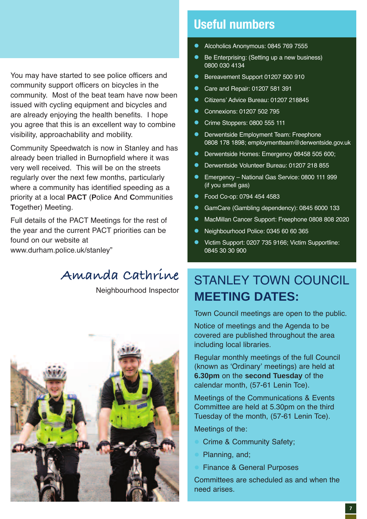#### You may have started to see police officers and community support officers on bicycles in the community. Most of the beat team have now been issued with cycling equipment and bicycles and are already enjoying the health benefits. I hope you agree that this is an excellent way to combine visibility, approachability and mobility.

Community Speedwatch is now in Stanley and has already been trialled in Burnopfield where it was very well received. This will be on the streets regularly over the next few months, particularly where a community has identified speeding as a priority at a local **PACT** (**P**olice **A**nd **C**ommunities **T**ogether) Meeting.

Full details of the PACT Meetings for the rest of the year and the current PACT priorities can be found on our website at www.durham.police.uk/stanley"

#### **Amanda Cathrine**

Neighbourhood Inspector



#### **Useful numbers**

- Alcoholics Anonymous: 0845 769 7555
- Be Enterprising: (Setting up a new business) 0800 030 4134
- Bereavement Support 01207 500 910
- Care and Repair: 01207 581 391
- Citizens' Advice Bureau: 01207 218845
- Connexions: 01207 502 795
- Crime Stoppers: 0800 555 111
- Derwentside Employment Team: Freephone 0808 178 1898; employmentteam@derwentside.gov.uk
- Derwentside Homes: Emergency 08458 505 600;
- Derwentside Volunteer Bureau: 01207 218 855
- Emergency National Gas Service: 0800 111 999 (if you smell gas)
- Food Co-op: 0794 454 4583
- GamCare (Gambling dependency): 0845 6000 133
- MacMillan Cancer Support: Freephone 0808 808 2020
- Neighbourhood Police: 0345 60 60 365
- Victim Support: 0207 735 9166; Victim Supportline: 0845 30 30 900

### STANI FY TOWN COUNCIL **MEETING DATES:**

Town Council meetings are open to the public.

Notice of meetings and the Agenda to be covered are published throughout the area including local libraries.

Regular monthly meetings of the full Council (known as ʻOrdinary' meetings) are held at **6.30pm** on the **second Tuesday** of the calendar month, (57-61 Lenin Tce).

Meetings of the Communications & Events Committee are held at 5.30pm on the third Tuesday of the month, (57-61 Lenin Tce).

Meetings of the:

- Crime & Community Safety;
- Planning, and;
- Finance & General Purposes

Committees are scheduled as and when the need arises.